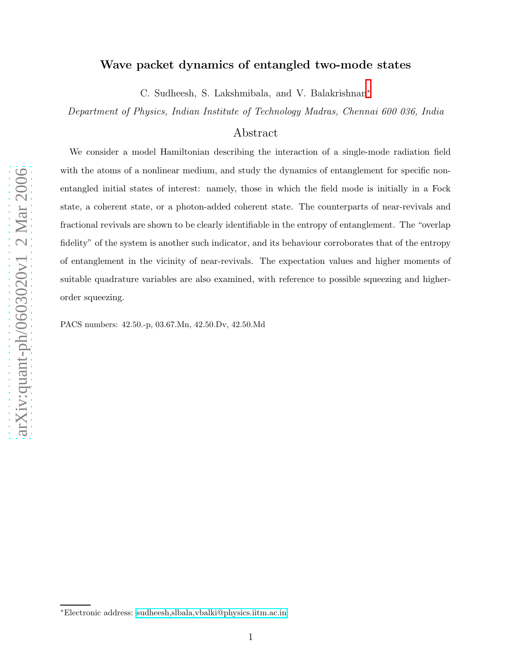# Wave packet dynamics of entangled two-mode states

C. Sudheesh, S. Lakshmibala, and V. Balakrishnan\*

Department of Physics, Indian Institute of Technology Madras, Chennai 600 036, India

# Abstract

We consider a model Hamiltonian describing the interaction of a single-mode radiation field with the atoms of a nonlinear medium, and study the dynamics of entanglement for specific nonentangled initial states of interest: namely, those in which the field mode is initially in a Fock state, a coherent state, or a photon-added coherent state. The counterparts of near-revivals and fractional revivals are shown to be clearly identifiable in the entropy of entanglement. The "overlap fidelity" of the system is another such indicator, and its behaviour corroborates that of the entropy of entanglement in the vicinity of near-revivals. The expectation values and higher moments of suitable quadrature variables are also examined, with reference to possible squeezing and higherorder squeezing.

PACS numbers: 42.50.-p, 03.67.Mn, 42.50.Dv, 42.50.Md

<span id="page-0-0"></span><sup>∗</sup>Electronic address: [sudheesh,slbala,vbalki@physics.iitm.ac.in](mailto:sudheesh,slbala,vbalki@physics.iitm.ac.in)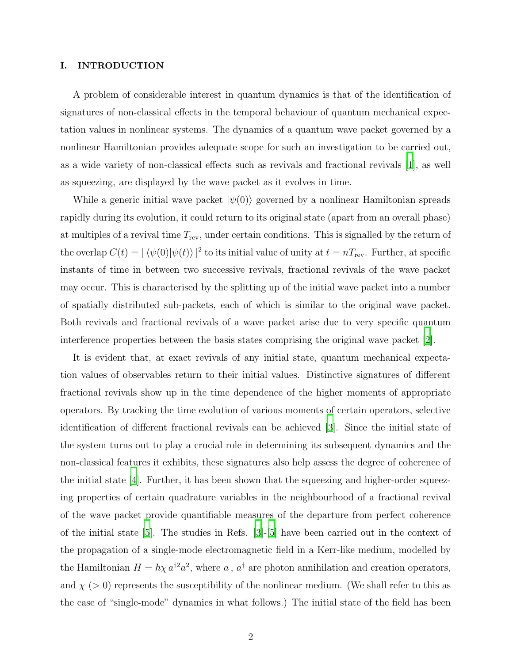# I. INTRODUCTION

A problem of considerable interest in quantum dynamics is that of the identification of signatures of non-classical effects in the temporal behaviour of quantum mechanical expectation values in nonlinear systems. The dynamics of a quantum wave packet governed by a nonlinear Hamiltonian provides adequate scope for such an investigation to be carried out, as a wide variety of non-classical effects such as revivals and fractional revivals [\[1\]](#page-17-0), as well as squeezing, are displayed by the wave packet as it evolves in time.

While a generic initial wave packet  $|\psi(0)\rangle$  governed by a nonlinear Hamiltonian spreads rapidly during its evolution, it could return to its original state (apart from an overall phase) at multiples of a revival time  $T_{\text{rev}}$ , under certain conditions. This is signalled by the return of the overlap  $C(t) = |\langle \psi(0) | \psi(t) \rangle|^2$  to its initial value of unity at  $t = nT_{\text{rev}}$ . Further, at specific instants of time in between two successive revivals, fractional revivals of the wave packet may occur. This is characterised by the splitting up of the initial wave packet into a number of spatially distributed sub-packets, each of which is similar to the original wave packet. Both revivals and fractional revivals of a wave packet arise due to very specific quantum interference properties between the basis states comprising the original wave packet [\[2\]](#page-17-1).

It is evident that, at exact revivals of any initial state, quantum mechanical expectation values of observables return to their initial values. Distinctive signatures of different fractional revivals show up in the time dependence of the higher moments of appropriate operators. By tracking the time evolution of various moments of certain operators, selective identification of different fractional revivals can be achieved [\[3\]](#page-17-2). Since the initial state of the system turns out to play a crucial role in determining its subsequent dynamics and the non-classical features it exhibits, these signatures also help assess the degree of coherence of the initial state [\[4](#page-17-3)]. Further, it has been shown that the squeezing and higher-order squeezing properties of certain quadrature variables in the neighbourhood of a fractional revival of the wave packet provide quantifiable measures of the departure from perfect coherence of the initial state [\[5](#page-17-4)]. The studies in Refs. [\[3\]](#page-17-2)-[\[5\]](#page-17-4) have been carried out in the context of the propagation of a single-mode electromagnetic field in a Kerr-like medium, modelled by the Hamiltonian  $H = \hbar \chi a^{\dagger 2} a^2$ , where a,  $a^{\dagger}$  are photon annihilation and creation operators, and  $\chi$  (> 0) represents the susceptibility of the nonlinear medium. (We shall refer to this as the case of "single-mode" dynamics in what follows.) The initial state of the field has been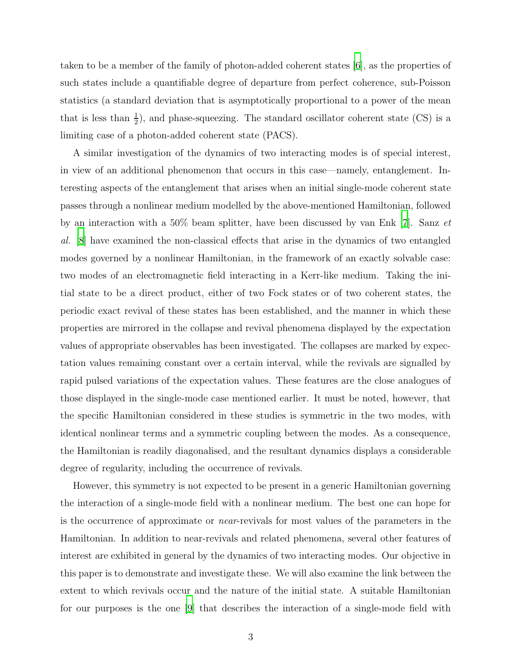taken to be a member of the family of photon-added coherent states [\[6](#page-17-5)], as the properties of such states include a quantifiable degree of departure from perfect coherence, sub-Poisson statistics (a standard deviation that is asymptotically proportional to a power of the mean that is less than  $\frac{1}{2}$ , and phase-squeezing. The standard oscillator coherent state (CS) is a limiting case of a photon-added coherent state (PACS).

A similar investigation of the dynamics of two interacting modes is of special interest, in view of an additional phenomenon that occurs in this case—namely, entanglement. Interesting aspects of the entanglement that arises when an initial single-mode coherent state passes through a nonlinear medium modelled by the above-mentioned Hamiltonian, followed by an interaction with a 50% beam splitter, have been discussed by van Enk [\[7\]](#page-17-6). Sanz et al. [\[8](#page-17-7)] have examined the non-classical effects that arise in the dynamics of two entangled modes governed by a nonlinear Hamiltonian, in the framework of an exactly solvable case: two modes of an electromagnetic field interacting in a Kerr-like medium. Taking the initial state to be a direct product, either of two Fock states or of two coherent states, the periodic exact revival of these states has been established, and the manner in which these properties are mirrored in the collapse and revival phenomena displayed by the expectation values of appropriate observables has been investigated. The collapses are marked by expectation values remaining constant over a certain interval, while the revivals are signalled by rapid pulsed variations of the expectation values. These features are the close analogues of those displayed in the single-mode case mentioned earlier. It must be noted, however, that the specific Hamiltonian considered in these studies is symmetric in the two modes, with identical nonlinear terms and a symmetric coupling between the modes. As a consequence, the Hamiltonian is readily diagonalised, and the resultant dynamics displays a considerable degree of regularity, including the occurrence of revivals.

However, this symmetry is not expected to be present in a generic Hamiltonian governing the interaction of a single-mode field with a nonlinear medium. The best one can hope for is the occurrence of approximate or near-revivals for most values of the parameters in the Hamiltonian. In addition to near-revivals and related phenomena, several other features of interest are exhibited in general by the dynamics of two interacting modes. Our objective in this paper is to demonstrate and investigate these. We will also examine the link between the extent to which revivals occur and the nature of the initial state. A suitable Hamiltonian for our purposes is the one [\[9\]](#page-17-8) that describes the interaction of a single-mode field with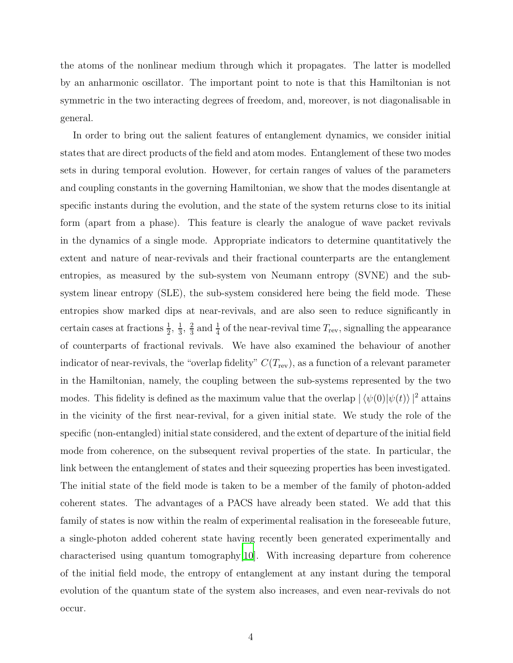the atoms of the nonlinear medium through which it propagates. The latter is modelled by an anharmonic oscillator. The important point to note is that this Hamiltonian is not symmetric in the two interacting degrees of freedom, and, moreover, is not diagonalisable in general.

In order to bring out the salient features of entanglement dynamics, we consider initial states that are direct products of the field and atom modes. Entanglement of these two modes sets in during temporal evolution. However, for certain ranges of values of the parameters and coupling constants in the governing Hamiltonian, we show that the modes disentangle at specific instants during the evolution, and the state of the system returns close to its initial form (apart from a phase). This feature is clearly the analogue of wave packet revivals in the dynamics of a single mode. Appropriate indicators to determine quantitatively the extent and nature of near-revivals and their fractional counterparts are the entanglement entropies, as measured by the sub-system von Neumann entropy (SVNE) and the subsystem linear entropy (SLE), the sub-system considered here being the field mode. These entropies show marked dips at near-revivals, and are also seen to reduce significantly in certain cases at fractions  $\frac{1}{2}$ ,  $\frac{1}{3}$  $\frac{1}{3}$ ,  $\frac{2}{3}$  $\frac{2}{3}$  and  $\frac{1}{4}$  of the near-revival time  $T_{\text{rev}}$ , signalling the appearance of counterparts of fractional revivals. We have also examined the behaviour of another indicator of near-revivals, the "overlap fidelity"  $C(T_{\text{rev}})$ , as a function of a relevant parameter in the Hamiltonian, namely, the coupling between the sub-systems represented by the two modes. This fidelity is defined as the maximum value that the overlap  $|\langle \psi(0)|\psi(t)\rangle|^2$  attains in the vicinity of the first near-revival, for a given initial state. We study the role of the specific (non-entangled) initial state considered, and the extent of departure of the initial field mode from coherence, on the subsequent revival properties of the state. In particular, the link between the entanglement of states and their squeezing properties has been investigated. The initial state of the field mode is taken to be a member of the family of photon-added coherent states. The advantages of a PACS have already been stated. We add that this family of states is now within the realm of experimental realisation in the foreseeable future, a single-photon added coherent state having recently been generated experimentally and characterised using quantum tomography[\[10\]](#page-17-9). With increasing departure from coherence of the initial field mode, the entropy of entanglement at any instant during the temporal evolution of the quantum state of the system also increases, and even near-revivals do not occur.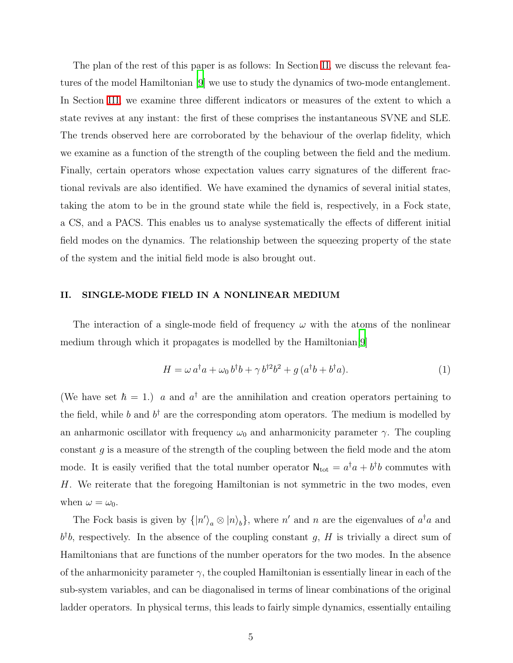The plan of the rest of this paper is as follows: In Section [II,](#page-4-0) we discuss the relevant features of the model Hamiltonian [\[9\]](#page-17-8) we use to study the dynamics of two-mode entanglement. In Section [III,](#page-6-0) we examine three different indicators or measures of the extent to which a state revives at any instant: the first of these comprises the instantaneous SVNE and SLE. The trends observed here are corroborated by the behaviour of the overlap fidelity, which we examine as a function of the strength of the coupling between the field and the medium. Finally, certain operators whose expectation values carry signatures of the different fractional revivals are also identified. We have examined the dynamics of several initial states, taking the atom to be in the ground state while the field is, respectively, in a Fock state, a CS, and a PACS. This enables us to analyse systematically the effects of different initial field modes on the dynamics. The relationship between the squeezing property of the state of the system and the initial field mode is also brought out.

## <span id="page-4-0"></span>II. SINGLE-MODE FIELD IN A NONLINEAR MEDIUM

The interaction of a single-mode field of frequency  $\omega$  with the atoms of the nonlinear medium through which it propagates is modelled by the Hamiltonian[\[9\]](#page-17-8)

<span id="page-4-1"></span>
$$
H = \omega a^{\dagger} a + \omega_0 b^{\dagger} b + \gamma b^{\dagger 2} b^2 + g (a^{\dagger} b + b^{\dagger} a). \tag{1}
$$

(We have set  $\hbar = 1$ .) a and  $a^{\dagger}$  are the annihilation and creation operators pertaining to the field, while b and  $b^{\dagger}$  are the corresponding atom operators. The medium is modelled by an anharmonic oscillator with frequency  $\omega_0$  and anharmonicity parameter  $\gamma$ . The coupling constant  $g$  is a measure of the strength of the coupling between the field mode and the atom mode. It is easily verified that the total number operator  $N_{\text{tot}} = a^{\dagger}a + b^{\dagger}b$  commutes with H. We reiterate that the foregoing Hamiltonian is not symmetric in the two modes, even when  $\omega = \omega_0$ .

The Fock basis is given by  $\{|n'\rangle_a \otimes |n\rangle_b\}$ , where n' and n are the eigenvalues of  $a^{\dagger}a$  and  $b^{\dagger}b$ , respectively. In the absence of the coupling constant g, H is trivially a direct sum of Hamiltonians that are functions of the number operators for the two modes. In the absence of the anharmonicity parameter  $\gamma$ , the coupled Hamiltonian is essentially linear in each of the sub-system variables, and can be diagonalised in terms of linear combinations of the original ladder operators. In physical terms, this leads to fairly simple dynamics, essentially entailing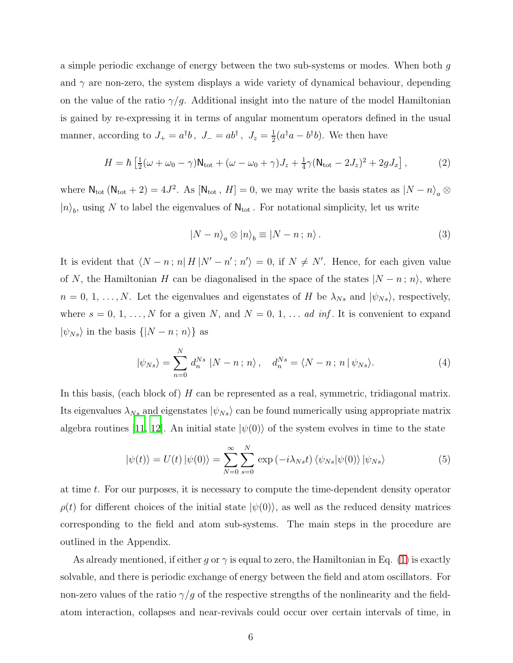a simple periodic exchange of energy between the two sub-systems or modes. When both g and  $\gamma$  are non-zero, the system displays a wide variety of dynamical behaviour, depending on the value of the ratio  $\gamma/g$ . Additional insight into the nature of the model Hamiltonian is gained by re-expressing it in terms of angular momentum operators defined in the usual manner, according to  $J_+ = a^{\dagger}b$ ,  $J_- = ab^{\dagger}$ ,  $J_z = \frac{1}{2}$  $\frac{1}{2}(a^{\dagger}a - b^{\dagger}b)$ . We then have

$$
H = \hbar \left[ \frac{1}{2} (\omega + \omega_0 - \gamma) \mathsf{N}_{\text{tot}} + (\omega - \omega_0 + \gamma) J_z + \frac{1}{4} \gamma (\mathsf{N}_{\text{tot}} - 2J_z)^2 + 2g J_x \right],\tag{2}
$$

where  $\mathsf{N}_{\text{tot}}(\mathsf{N}_{\text{tot}}+2)=4J^2$ . As  $[\mathsf{N}_{\text{tot}}\, ,\, H]=0$ , we may write the basis states as  $|N-n\rangle_a\otimes$  $|n\rangle_b$ , using N to label the eigenvalues of  $\mathsf{N_{tot}}$ . For notational simplicity, let us write

$$
|N - n\rangle_a \otimes |n\rangle_b \equiv |N - n \, ; \, n\rangle \,. \tag{3}
$$

It is evident that  $\langle N - n ; n | H | N' - n' ; n' \rangle = 0$ , if  $N \neq N'$ . Hence, for each given value of N, the Hamiltonian H can be diagonalised in the space of the states  $|N - n; n\rangle$ , where  $n = 0, 1, \ldots, N$ . Let the eigenvalues and eigenstates of H be  $\lambda_{Ns}$  and  $|\psi_{Ns}\rangle$ , respectively, where  $s = 0, 1, ..., N$  for a given N, and  $N = 0, 1, ...$  ad inf. It is convenient to expand  $|\psi_{Ns}\rangle$  in the basis  $\{|N-n\,;\,n\rangle\}$  as

<span id="page-5-1"></span><span id="page-5-0"></span>
$$
|\psi_{Ns}\rangle = \sum_{n=0}^{N} d_n^{Ns} |N - n; n\rangle, \quad d_n^{Ns} = \langle N - n; n | \psi_{Ns} \rangle.
$$
 (4)

In this basis, (each block of) H can be represented as a real, symmetric, tridiagonal matrix. Its eigenvalues  $\lambda_{Ns}$  and eigenstates  $|\psi_{Ns}\rangle$  can be found numerically using appropriate matrix algebra routines [\[11,](#page-17-10) [12\]](#page-17-11). An initial state  $|\psi(0)\rangle$  of the system evolves in time to the state

$$
|\psi(t)\rangle = U(t) |\psi(0)\rangle = \sum_{N=0}^{\infty} \sum_{s=0}^{N} \exp(-i\lambda_{Ns}t) \langle \psi_{Ns} | \psi(0) \rangle | \psi_{Ns} \rangle \tag{5}
$$

at time t. For our purposes, it is necessary to compute the time-dependent density operator  $\rho(t)$  for different choices of the initial state  $|\psi(0)\rangle$ , as well as the reduced density matrices corresponding to the field and atom sub-systems. The main steps in the procedure are outlined in the Appendix.

As already mentioned, if either g or  $\gamma$  is equal to zero, the Hamiltonian in Eq. [\(1\)](#page-4-1) is exactly solvable, and there is periodic exchange of energy between the field and atom oscillators. For non-zero values of the ratio  $\gamma/g$  of the respective strengths of the nonlinearity and the fieldatom interaction, collapses and near-revivals could occur over certain intervals of time, in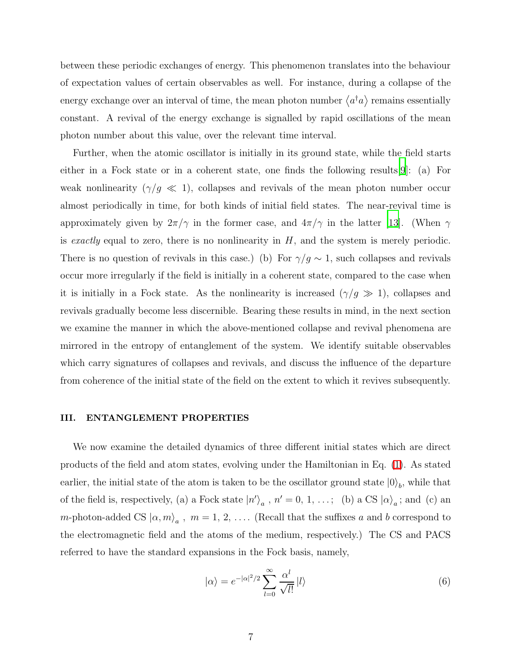between these periodic exchanges of energy. This phenomenon translates into the behaviour of expectation values of certain observables as well. For instance, during a collapse of the energy exchange over an interval of time, the mean photon number  $\langle a^{\dagger}a \rangle$  remains essentially constant. A revival of the energy exchange is signalled by rapid oscillations of the mean photon number about this value, over the relevant time interval.

Further, when the atomic oscillator is initially in its ground state, while the field starts either in a Fock state or in a coherent state, one finds the following results[\[9](#page-17-8)]: (a) For weak nonlinearity  $(\gamma/g \ll 1)$ , collapses and revivals of the mean photon number occur almost periodically in time, for both kinds of initial field states. The near-revival time is approximately given by  $2\pi/\gamma$  in the former case, and  $4\pi/\gamma$  in the latter [\[13\]](#page-17-12). (When  $\gamma$ is exactly equal to zero, there is no nonlinearity in  $H$ , and the system is merely periodic. There is no question of revivals in this case.) (b) For  $\gamma/g \sim 1$ , such collapses and revivals occur more irregularly if the field is initially in a coherent state, compared to the case when it is initially in a Fock state. As the nonlinearity is increased  $(\gamma/g \gg 1)$ , collapses and revivals gradually become less discernible. Bearing these results in mind, in the next section we examine the manner in which the above-mentioned collapse and revival phenomena are mirrored in the entropy of entanglement of the system. We identify suitable observables which carry signatures of collapses and revivals, and discuss the influence of the departure from coherence of the initial state of the field on the extent to which it revives subsequently.

#### <span id="page-6-0"></span>III. ENTANGLEMENT PROPERTIES

We now examine the detailed dynamics of three different initial states which are direct products of the field and atom states, evolving under the Hamiltonian in Eq. [\(1\)](#page-4-1). As stated earlier, the initial state of the atom is taken to be the oscillator ground state  $|0\rangle_b$ , while that of the field is, respectively, (a) a Fock state  $|n'\rangle_a$ ,  $n' = 0, 1, \ldots;$  (b) a CS  $|\alpha\rangle_a$ ; and (c) an *m*-photon-added CS  $|\alpha, m\rangle_a$ ,  $m = 1, 2, \ldots$  (Recall that the suffixes a and b correspond to the electromagnetic field and the atoms of the medium, respectively.) The CS and PACS referred to have the standard expansions in the Fock basis, namely,

$$
|\alpha\rangle = e^{-|\alpha|^2/2} \sum_{l=0}^{\infty} \frac{\alpha^l}{\sqrt{l!}} |l\rangle \tag{6}
$$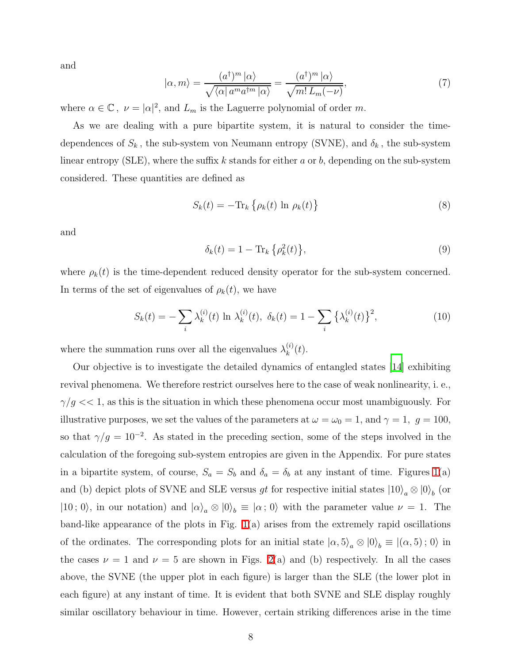and

$$
|\alpha, m\rangle = \frac{(a^{\dagger})^m |\alpha\rangle}{\sqrt{\langle \alpha | a^m a^{\dagger m} |\alpha \rangle}} = \frac{(a^{\dagger})^m |\alpha\rangle}{\sqrt{m! L_m(-\nu)}},\tag{7}
$$

where  $\alpha \in \mathbb{C}$ ,  $\nu = |\alpha|^2$ , and  $L_m$  is the Laguerre polynomial of order m.

As we are dealing with a pure bipartite system, it is natural to consider the timedependences of  $S_k$ , the sub-system von Neumann entropy (SVNE), and  $\delta_k$ , the sub-system linear entropy (SLE), where the suffix k stands for either a or b, depending on the sub-system considered. These quantities are defined as

$$
S_k(t) = -\text{Tr}_k \left\{ \rho_k(t) \ln \rho_k(t) \right\} \tag{8}
$$

and

<span id="page-7-0"></span>
$$
\delta_k(t) = 1 - \text{Tr}_k \left\{ \rho_k^2(t) \right\},\tag{9}
$$

where  $\rho_k(t)$  is the time-dependent reduced density operator for the sub-system concerned. In terms of the set of eigenvalues of  $\rho_k(t)$ , we have

$$
S_k(t) = -\sum_{i} \lambda_k^{(i)}(t) \ln \lambda_k^{(i)}(t), \ \delta_k(t) = 1 - \sum_{i} {\lambda_k^{(i)}(t)}^2,
$$
 (10)

where the summation runs over all the eigenvalues  $\lambda_k^{(i)}$  $\binom{u}{k}(t)$ .

Our objective is to investigate the detailed dynamics of entangled states [\[14\]](#page-17-13) exhibiting revival phenomena. We therefore restrict ourselves here to the case of weak nonlinearity, i. e.,  $\gamma/g << 1$ , as this is the situation in which these phenomena occur most unambiguously. For illustrative purposes, we set the values of the parameters at  $\omega = \omega_0 = 1$ , and  $\gamma = 1$ ,  $g = 100$ , so that  $\gamma/g = 10^{-2}$ . As stated in the preceding section, some of the steps involved in the calculation of the foregoing sub-system entropies are given in the Appendix. For pure states in a bipartite system, of course,  $S_a = S_b$  and  $\delta_a = \delta_b$  at any instant of time. Figures [1\(](#page-8-0)a) and (b) depict plots of SVNE and SLE versus *gt* for respective initial states  $|10\rangle_a \otimes |0\rangle_b$  (or  $|10;0\rangle$ , in our notation) and  $|\alpha\rangle_a \otimes |0\rangle_b \equiv |\alpha;0\rangle$  with the parameter value  $\nu = 1$ . The band-like appearance of the plots in Fig. [1\(](#page-8-0)a) arises from the extremely rapid oscillations of the ordinates. The corresponding plots for an initial state  $|\alpha, 5\rangle_a \otimes |0\rangle_b \equiv |(\alpha, 5); 0\rangle$  in the cases  $\nu = 1$  and  $\nu = 5$  are shown in Figs. [2\(](#page-8-1)a) and (b) respectively. In all the cases above, the SVNE (the upper plot in each figure) is larger than the SLE (the lower plot in each figure) at any instant of time. It is evident that both SVNE and SLE display roughly similar oscillatory behaviour in time. However, certain striking differences arise in the time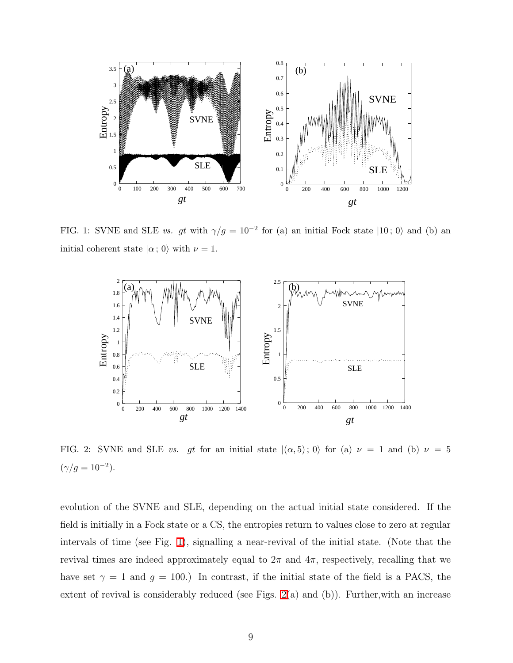

<span id="page-8-0"></span>FIG. 1: SVNE and SLE vs. gt with  $\gamma/g = 10^{-2}$  for (a) an initial Fock state  $|10; 0\rangle$  and (b) and initial coherent state  $|\alpha; 0\rangle$  with  $\nu = 1$ .



<span id="page-8-1"></span>FIG. 2: SVNE and SLE vs. gt for an initial state  $|(\alpha,5);0\rangle$  for (a)  $\nu = 1$  and (b)  $\nu = 5$  $(\gamma/g = 10^{-2}).$ 

evolution of the SVNE and SLE, depending on the actual initial state considered. If the field is initially in a Fock state or a CS, the entropies return to values close to zero at regular intervals of time (see Fig. [1\)](#page-8-0), signalling a near-revival of the initial state. (Note that the revival times are indeed approximately equal to  $2\pi$  and  $4\pi$ , respectively, recalling that we have set  $\gamma = 1$  and  $g = 100$ .) In contrast, if the initial state of the field is a PACS, the extent of revival is considerably reduced (see Figs. [2\(](#page-8-1)a) and (b)). Further,with an increase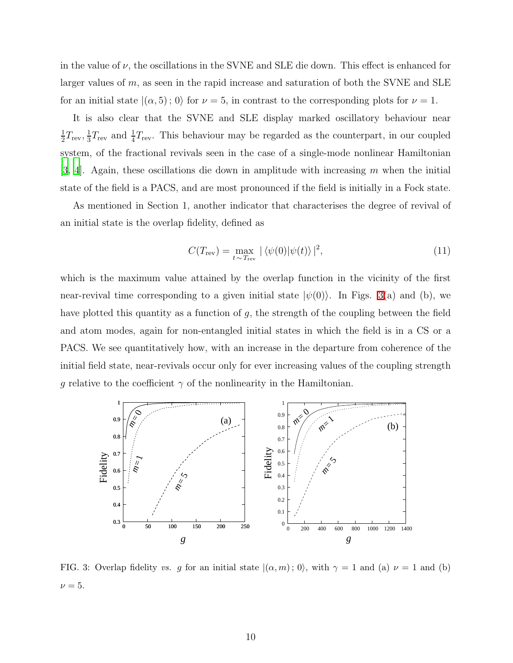in the value of  $\nu$ , the oscillations in the SVNE and SLE die down. This effect is enhanced for larger values of m, as seen in the rapid increase and saturation of both the SVNE and SLE for an initial state  $|(\alpha, 5); 0\rangle$  for  $\nu = 5$ , in contrast to the corresponding plots for  $\nu = 1$ .

It is also clear that the SVNE and SLE display marked oscillatory behaviour near 1  $\frac{1}{2}T_{\rm rev}, \frac{1}{3}$  $\frac{1}{3}T_{\text{rev}}$  and  $\frac{1}{4}T_{\text{rev}}$ . This behaviour may be regarded as the counterpart, in our coupled system, of the fractional revivals seen in the case of a single-mode nonlinear Hamiltonian  $[3, 4]$  $[3, 4]$  $[3, 4]$ . Again, these oscillations die down in amplitude with increasing m when the initial state of the field is a PACS, and are most pronounced if the field is initially in a Fock state.

As mentioned in Section 1, another indicator that characterises the degree of revival of an initial state is the overlap fidelity, defined as

$$
C(T_{\text{rev}}) = \max_{t \sim T_{\text{rev}}} |\langle \psi(0) | \psi(t) \rangle|^2,
$$
\n(11)

which is the maximum value attained by the overlap function in the vicinity of the first near-revival time corresponding to a given initial state  $|\psi(0)\rangle$ . In Figs. [3\(](#page-9-0)a) and (b), we have plotted this quantity as a function of  $g$ , the strength of the coupling between the field and atom modes, again for non-entangled initial states in which the field is in a CS or a PACS. We see quantitatively how, with an increase in the departure from coherence of the initial field state, near-revivals occur only for ever increasing values of the coupling strength g relative to the coefficient  $\gamma$  of the nonlinearity in the Hamiltonian.



<span id="page-9-0"></span>FIG. 3: Overlap fidelity vs. g for an initial state  $|(\alpha, m); 0\rangle$ , with  $\gamma = 1$  and (a)  $\nu = 1$  and (b)  $\nu = 5$ .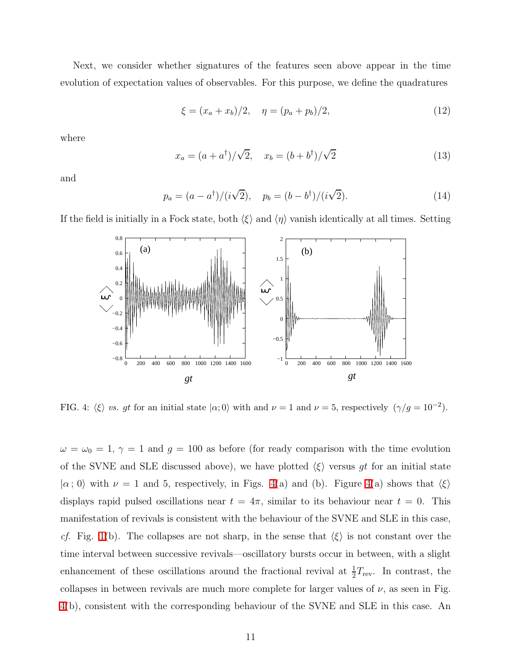Next, we consider whether signatures of the features seen above appear in the time evolution of expectation values of observables. For this purpose, we define the quadratures

<span id="page-10-1"></span>
$$
\xi = (x_a + x_b)/2, \quad \eta = (p_a + p_b)/2,
$$
\n(12)

where

$$
x_a = (a + a^{\dagger})/\sqrt{2}, \quad x_b = (b + b^{\dagger})/\sqrt{2}
$$
 (13)

and

$$
p_a = (a - a^{\dagger})/(i\sqrt{2}), \quad p_b = (b - b^{\dagger})/(i\sqrt{2}).
$$
 (14)

If the field is initially in a Fock state, both  $\langle \xi \rangle$  and  $\langle \eta \rangle$  vanish identically at all times. Setting



<span id="page-10-0"></span>FIG. 4:  $\langle \xi \rangle$  vs. gt for an initial state  $|\alpha; 0\rangle$  with and  $\nu = 1$  and  $\nu = 5$ , respectively  $(\gamma/g = 10^{-2})$ .

 $\omega = \omega_0 = 1$ ,  $\gamma = 1$  and  $g = 100$  as before (for ready comparison with the time evolution of the SVNE and SLE discussed above), we have plotted  $\langle \xi \rangle$  versus gt for an initial state  $|\alpha; 0\rangle$  with  $\nu = 1$  and 5, respectively, in Figs. [4\(](#page-10-0)a) and (b). Figure 4(a) shows that  $\langle \xi \rangle$ displays rapid pulsed oscillations near  $t = 4\pi$ , similar to its behaviour near  $t = 0$ . This manifestation of revivals is consistent with the behaviour of the SVNE and SLE in this case, cf. Fig. [1\(](#page-8-0)b). The collapses are not sharp, in the sense that  $\langle \xi \rangle$  is not constant over the time interval between successive revivals—oscillatory bursts occur in between, with a slight enhancement of these oscillations around the fractional revival at  $\frac{1}{2}$  $\frac{1}{2}T_{\text{rev}}$ . In contrast, the collapses in between revivals are much more complete for larger values of  $\nu$ , as seen in Fig. [4\(](#page-10-0)b), consistent with the corresponding behaviour of the SVNE and SLE in this case. An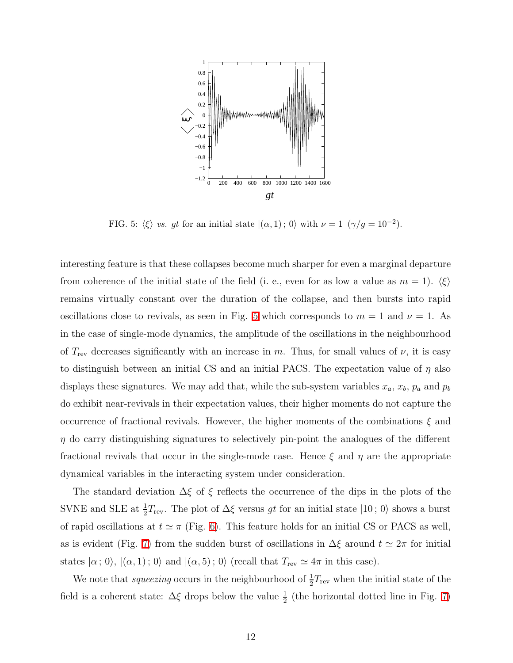

<span id="page-11-0"></span>FIG. 5:  $\langle \xi \rangle$  vs. gt for an initial state  $|(\alpha, 1)$ ; 0) with  $\nu = 1$   $(\gamma/g = 10^{-2})$ .

interesting feature is that these collapses become much sharper for even a marginal departure from coherence of the initial state of the field (i. e., even for as low a value as  $m = 1$ ).  $\langle \xi \rangle$ remains virtually constant over the duration of the collapse, and then bursts into rapid oscillations close to revivals, as seen in Fig. [5](#page-11-0) which corresponds to  $m = 1$  and  $\nu = 1$ . As in the case of single-mode dynamics, the amplitude of the oscillations in the neighbourhood of  $T_{\text{rev}}$  decreases significantly with an increase in m. Thus, for small values of  $\nu$ , it is easy to distinguish between an initial CS and an initial PACS. The expectation value of  $\eta$  also displays these signatures. We may add that, while the sub-system variables  $x_a, x_b, p_a$  and  $p_b$ do exhibit near-revivals in their expectation values, their higher moments do not capture the occurrence of fractional revivals. However, the higher moments of the combinations  $\xi$  and  $\eta$  do carry distinguishing signatures to selectively pin-point the analogues of the different fractional revivals that occur in the single-mode case. Hence  $\xi$  and  $\eta$  are the appropriate dynamical variables in the interacting system under consideration.

The standard deviation  $\Delta \xi$  of  $\xi$  reflects the occurrence of the dips in the plots of the SVNE and SLE at  $\frac{1}{2}T_{\text{rev}}$ . The plot of  $\Delta \xi$  versus gt for an initial state  $|10;0\rangle$  shows a burst of rapid oscillations at  $t \approx \pi$  (Fig. [6\)](#page-12-0). This feature holds for an initial CS or PACS as well, as is evident (Fig. [7\)](#page-13-0) from the sudden burst of oscillations in  $\Delta \xi$  around  $t \simeq 2\pi$  for initial states  $|\alpha; 0\rangle$ ,  $|(\alpha, 1); 0\rangle$  and  $|(\alpha, 5); 0\rangle$  (recall that  $T_{\text{rev}} \simeq 4\pi$  in this case).

We note that *squeezing* occurs in the neighbourhood of  $\frac{1}{2}T_{\text{rev}}$  when the initial state of the field is a coherent state:  $\Delta \xi$  drops below the value  $\frac{1}{2}$  (the horizontal dotted line in Fig. [7\)](#page-13-0)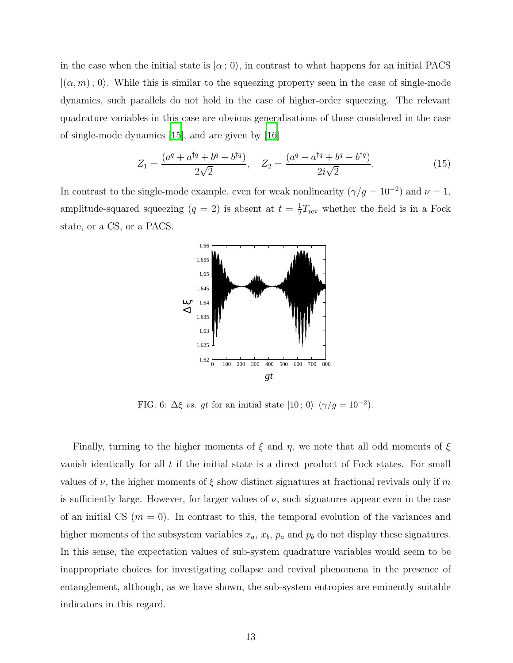in the case when the initial state is  $|\alpha; 0\rangle$ , in contrast to what happens for an initial PACS  $|(\alpha, m); 0\rangle$ . While this is similar to the squeezing property seen in the case of single-mode dynamics, such parallels do not hold in the case of higher-order squeezing. The relevant quadrature variables in this case are obvious generalisations of those considered in the case of single-mode dynamics [\[15](#page-17-14)], and are given by [\[16\]](#page-17-15)

$$
Z_1 = \frac{(a^q + a^{\dagger q} + b^q + b^{\dagger q})}{2\sqrt{2}}, \quad Z_2 = \frac{(a^q - a^{\dagger q} + b^q - b^{\dagger q})}{2i\sqrt{2}}.
$$
(15)

In contrast to the single-mode example, even for weak nonlinearity  $(\gamma/g = 10^{-2})$  and  $\nu = 1$ , amplitude-squared squeezing  $(q = 2)$  is absent at  $t = \frac{1}{2}$  $\frac{1}{2}T_{\text{rev}}$  whether the field is in a Fock state, or a CS, or a PACS.



<span id="page-12-0"></span>FIG. 6:  $\Delta \xi$  vs. gt for an initial state  $|10; 0\rangle$   $(\gamma/g = 10^{-2})$ .

Finally, turning to the higher moments of  $\xi$  and  $\eta$ , we note that all odd moments of  $\xi$ vanish identically for all  $t$  if the initial state is a direct product of Fock states. For small values of  $\nu$ , the higher moments of  $\xi$  show distinct signatures at fractional revivals only if m is sufficiently large. However, for larger values of  $\nu$ , such signatures appear even in the case of an initial CS  $(m = 0)$ . In contrast to this, the temporal evolution of the variances and higher moments of the subsystem variables  $x_a$ ,  $x_b$ ,  $p_a$  and  $p_b$  do not display these signatures. In this sense, the expectation values of sub-system quadrature variables would seem to be inappropriate choices for investigating collapse and revival phenomena in the presence of entanglement, although, as we have shown, the sub-system entropies are eminently suitable indicators in this regard.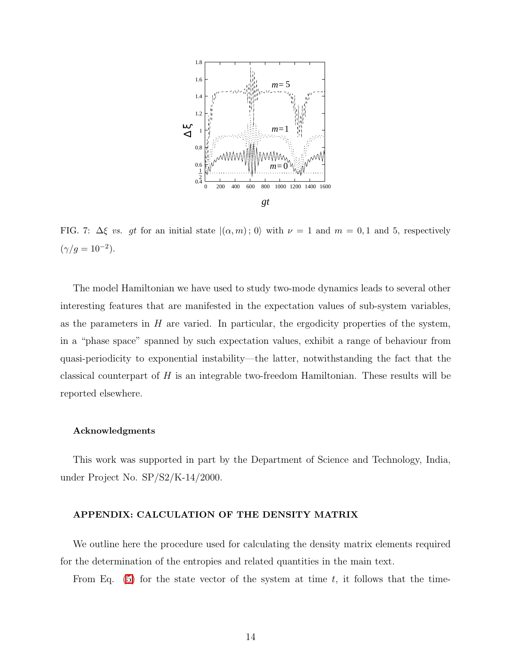

<span id="page-13-0"></span>FIG. 7:  $\Delta \xi$  vs. gt for an initial state  $|(\alpha, m); 0\rangle$  with  $\nu = 1$  and  $m = 0, 1$  and 5, respectively  $(\gamma/g = 10^{-2}).$ 

The model Hamiltonian we have used to study two-mode dynamics leads to several other interesting features that are manifested in the expectation values of sub-system variables, as the parameters in  $H$  are varied. In particular, the ergodicity properties of the system, in a "phase space" spanned by such expectation values, exhibit a range of behaviour from quasi-periodicity to exponential instability—the latter, notwithstanding the fact that the classical counterpart of  $H$  is an integrable two-freedom Hamiltonian. These results will be reported elsewhere.

### Acknowledgments

This work was supported in part by the Department of Science and Technology, India, under Project No. SP/S2/K-14/2000.

### APPENDIX: CALCULATION OF THE DENSITY MATRIX

We outline here the procedure used for calculating the density matrix elements required for the determination of the entropies and related quantities in the main text.

From Eq.  $(5)$  for the state vector of the system at time t, it follows that the time-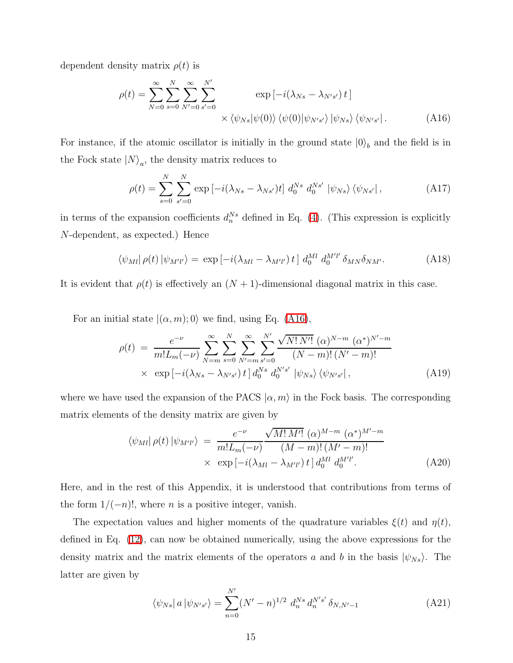<span id="page-14-0"></span>dependent density matrix  $\rho(t)$  is

$$
\rho(t) = \sum_{N=0}^{\infty} \sum_{s=0}^{N} \sum_{N'=0}^{\infty} \sum_{s'=0}^{N'} \exp\left[-i(\lambda_{Ns} - \lambda_{N's'}) t\right] \times \langle \psi_{Ns} | \psi(0) \rangle \langle \psi(0) | \psi_{N's'} \rangle |\psi_{Ns} \rangle \langle \psi_{N's'} |.
$$
\n(A16)

For instance, if the atomic oscillator is initially in the ground state  $|0\rangle_b$  and the field is in the Fock state  $|N\rangle_a$ , the density matrix reduces to

$$
\rho(t) = \sum_{s=0}^{N} \sum_{s'=0}^{N} \exp\left[-i(\lambda_{Ns} - \lambda_{Ns'})t\right] d_0^{Ns} d_0^{Ns'} |\psi_{Ns}\rangle \langle \psi_{Ns'}|, \qquad (A17)
$$

in terms of the expansion coefficients  $d_n^{Ns}$  defined in Eq. [\(4\)](#page-5-1). (This expression is explicitly N-dependent, as expected.) Hence

$$
\langle \psi_{Ml} | \rho(t) | \psi_{M'l'} \rangle = \exp \left[ -i(\lambda_{Ml} - \lambda_{M'l'}) t \right] d_0^{Ml} d_0^{M'l'} \delta_{MN} \delta_{NM'}.
$$
 (A18)

It is evident that  $\rho(t)$  is effectively an  $(N + 1)$ -dimensional diagonal matrix in this case.

For an initial state  $|(\alpha, m); 0\rangle$  we find, using Eq. [\(A16\)](#page-14-0),

$$
\rho(t) = \frac{e^{-\nu}}{m! L_m(-\nu)} \sum_{N=m}^{\infty} \sum_{s=0}^{N} \sum_{N'=m}^{\infty} \sum_{s'=0}^{N'} \frac{\sqrt{N! N'!} (\alpha)^{N-m} (\alpha^*)^{N'-m}}{(N-m)!(N'-m)!} \times \exp \left[ -i(\lambda_{Ns} - \lambda_{N's'}) t \right] d_0^{Ns} d_0^{N's'} |\psi_{Ns}\rangle \langle \psi_{N's'}|, \qquad (A19)
$$

where we have used the expansion of the PACS  $|\alpha, m\rangle$  in the Fock basis. The corresponding matrix elements of the density matrix are given by

$$
\langle \psi_{Ml} | \rho(t) | \psi_{M'l'} \rangle = \frac{e^{-\nu}}{m! L_m(-\nu)} \frac{\sqrt{M! M'!} (\alpha)^{M-m} (\alpha^*)^{M'-m}}{(M-m)! (M'-m)!} \times \exp[-i(\lambda_{Ml} - \lambda_{M'l'}) t] d_0^{Ml} d_0^{M'l'}.
$$
\n(A20)

Here, and in the rest of this Appendix, it is understood that contributions from terms of the form  $1/(-n)!$ , where *n* is a positive integer, vanish.

The expectation values and higher moments of the quadrature variables  $\xi(t)$  and  $\eta(t)$ , defined in Eq. [\(12\)](#page-10-1), can now be obtained numerically, using the above expressions for the density matrix and the matrix elements of the operators a and b in the basis  $|\psi_{Ns}\rangle$ . The latter are given by

$$
\langle \psi_{Ns} | a | \psi_{N's'} \rangle = \sum_{n=0}^{N'} (N'-n)^{1/2} d_n^{Ns} d_n^{N's'} \delta_{N,N'-1}
$$
 (A21)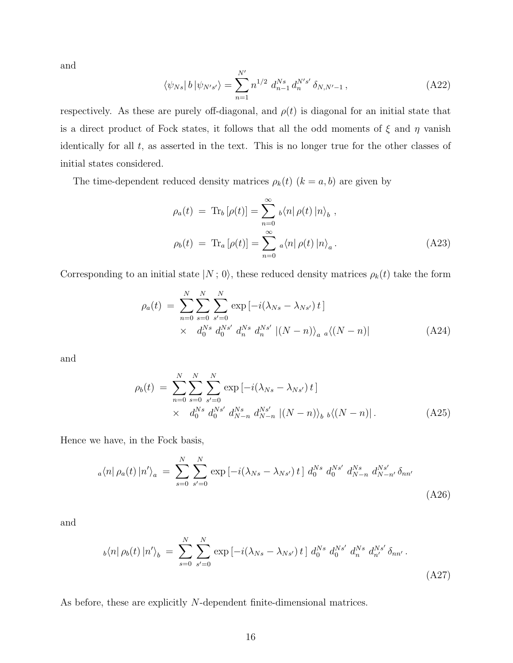and

$$
\langle \psi_{Ns} | b | \psi_{N's'} \rangle = \sum_{n=1}^{N'} n^{1/2} d_{n-1}^{Ns} d_n^{N's'} \delta_{N,N'-1} , \qquad (A22)
$$

respectively. As these are purely off-diagonal, and  $\rho(t)$  is diagonal for an initial state that is a direct product of Fock states, it follows that all the odd moments of  $\xi$  and  $\eta$  vanish identically for all  $t$ , as asserted in the text. This is no longer true for the other classes of initial states considered.

The time-dependent reduced density matrices  $\rho_k(t)$   $(k = a, b)$  are given by

$$
\rho_a(t) = \text{Tr}_b \left[ \rho(t) \right] = \sum_{n=0}^{\infty} \left. \right| b \langle n | \rho(t) | n \rangle_b ,
$$

$$
\rho_b(t) = \text{Tr}_a \left[ \rho(t) \right] = \sum_{n=0}^{\infty} \left. \right| a \langle n | \rho(t) | n \rangle_a . \tag{A23}
$$

Corresponding to an initial state  $|N; 0\rangle$ , these reduced density matrices  $\rho_k(t)$  take the form

$$
\rho_a(t) = \sum_{n=0}^{N} \sum_{s=0}^{N} \sum_{s'=0}^{N} \exp\left[-i(\lambda_{Ns} - \lambda_{Ns'}) t\right] \times d_0^{Ns} d_0^{Ns'} d_n^{Ns'} d_n^{Ns'} |(N-n)\rangle_a a \langle (N-n)| \qquad (A24)
$$

and

$$
\rho_b(t) = \sum_{n=0}^{N} \sum_{s=0}^{N} \sum_{s'=0}^{N} \exp\left[-i(\lambda_{Ns} - \lambda_{Ns'}) t\right] \times d_0^{Ns} d_0^{Ns'} d_{N-n}^{Ns} d_{N-n}^{Ns'} \left| (N-n) \right|, \qquad (A25)
$$

<span id="page-15-0"></span>Hence we have, in the Fock basis,

$$
_{a}\langle n|\,\rho_{a}(t)\,|n'\rangle_{a} \;=\; \sum_{s=0}^{N} \sum_{s'=0}^{N} \exp\left[-i(\lambda_{Ns} - \lambda_{Ns'})\,t\,\right] \, d_{0}^{Ns} \, d_{0}^{Ns'} \, d_{N-n}^{Ns} \, d_{N-n'}^{Ns'} \, \delta_{nn'} \tag{A26}
$$

<span id="page-15-1"></span>and

$$
{}_{b}\langle n|\,\rho_{b}(t)\,|n'\rangle_{b} \,=\, \sum_{s=0}^{N} \sum_{s'=0}^{N} \exp\left[-i(\lambda_{Ns} - \lambda_{Ns'})\,t\,\right] \, d_{0}^{Ns} \, d_{0}^{Ns'} \, d_{n}^{Ns'} \, d_{n'}^{Ns'} \,\delta_{nn'} \,. \tag{A27}
$$

As before, these are explicitly N-dependent finite-dimensional matrices.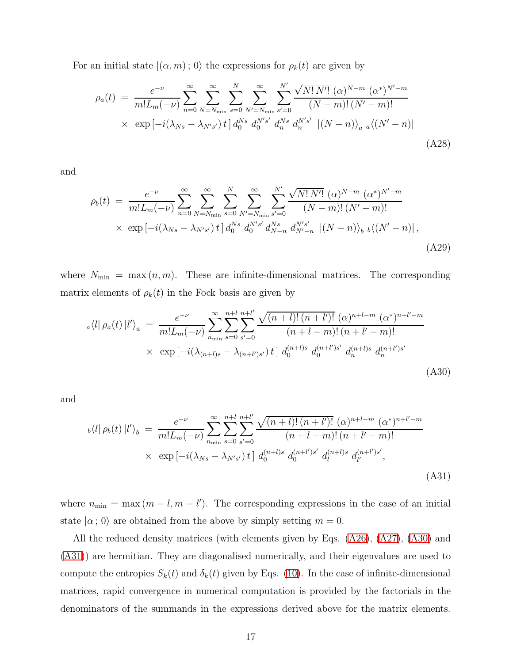For an initial state  $|(\alpha, m); 0\rangle$  the expressions for  $\rho_k(t)$  are given by

$$
\rho_a(t) = \frac{e^{-\nu}}{m! L_m(-\nu)} \sum_{n=0}^{\infty} \sum_{N=N_{\min}}^{\infty} \sum_{s=0}^{N} \sum_{N'=N_{\min}}^{\infty} \sum_{s'=0}^{N'} \frac{\sqrt{N! N'!} (\alpha)^{N-m} (\alpha^*)^{N'-m}}{(N-m)!(N'-m)!} \times \exp\left[-i(\lambda_{Ns} - \lambda_{N's'}) t\right] d_0^{Ns} d_0^{N's'} d_n^{Ns} d_n^{N's'} |(N-n)\rangle_a a \langle (N'-n)|
$$
\n(A28)

and

$$
\rho_b(t) = \frac{e^{-\nu}}{m! L_m(-\nu)} \sum_{n=0}^{\infty} \sum_{N=N_{\min}}^{\infty} \sum_{s=0}^{N} \sum_{N'=N_{\min}}^{\infty} \sum_{s'=0}^{N'} \frac{\sqrt{N! N'!} (\alpha)^{N-m} (\alpha^*)^{N'-m}}{(N-m)!(N'-m)!} \times \exp\left[-i(\lambda_{Ns} - \lambda_{N's'}) t\right] d_0^{Ns} d_0^{N's'} d_{N-n}^{Ns} d_{N'-n}^{N's'} \left| (N-n) \right\rangle_b b \left\langle (N'-n) \right|,
$$
\n(A29)

<span id="page-16-0"></span>where  $N_{\min} = \max(n, m)$ . These are infinite-dimensional matrices. The corresponding matrix elements of  $\rho_k(t)$  in the Fock basis are given by

$$
a\langle l|\,\rho_a(t)\,|l'\rangle_a = \frac{e^{-\nu}}{m!L_m(-\nu)} \sum_{n_{\min}}^{\infty} \sum_{s'=0}^{n+l} \frac{\sqrt{(n+l)!(n+l')!} \ (\alpha)^{n+l-m} \ (\alpha^*)^{n+l'-m}}{(n+l-m)!(n+l'-m)!} \times \exp\left[-i(\lambda_{(n+l)s} - \lambda_{(n+l')s'})\,t\right] d_0^{(n+l)s} d_0^{(n+l')s'} d_n^{(n+l)s} d_n^{(n+l')s'}
$$
\n(A30)

<span id="page-16-1"></span>and

$$
b\langle l|\,\rho_b(t)\,|l'\rangle_b = \frac{e^{-\nu}}{m!L_m(-\nu)} \sum_{n_{\min}}^{\infty} \sum_{s=0}^{n+l} \sum_{s'=0}^{n+l'} \frac{\sqrt{(n+l)!(n+l')!} \ (\alpha)^{n+l-m} \ (\alpha^*)^{n+l'-m}}{(n+l-m)!(n+l'-m)!} \times \exp\left[-i(\lambda_{Ns}-\lambda_{N's'})\,t\right] d_0^{(n+l)s} d_0^{(n+l')s'} d_l^{(n+l)s} d_{l'}^{(n+l')s'},\tag{A31}
$$

where  $n_{\min} = \max(m - l, m - l')$ . The corresponding expressions in the case of an initial state  $|\alpha; 0\rangle$  are obtained from the above by simply setting  $m = 0$ .

All the reduced density matrices (with elements given by Eqs. [\(A26\)](#page-15-0), [\(A27\)](#page-15-1), [\(A30\)](#page-16-0) and [\(A31\)](#page-16-1)) are hermitian. They are diagonalised numerically, and their eigenvalues are used to compute the entropies  $S_k(t)$  and  $\delta_k(t)$  given by Eqs. [\(10\)](#page-7-0). In the case of infinite-dimensional matrices, rapid convergence in numerical computation is provided by the factorials in the denominators of the summands in the expressions derived above for the matrix elements.